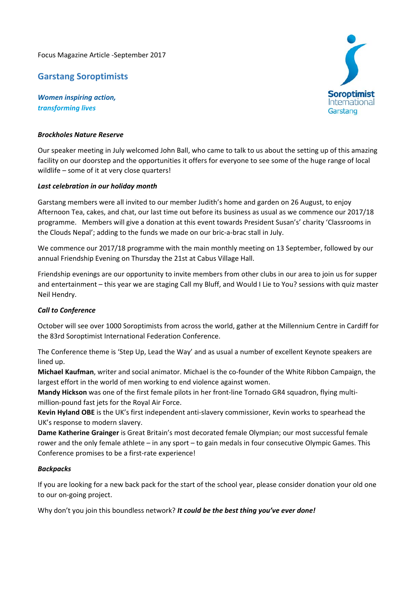Focus Magazine Article ‐September 2017

# **Garstang Soroptimists**

*Women inspiring action, transforming lives*

## *Brockholes Nature Reserve*

Our speaker meeting in July welcomed John Ball, who came to talk to us about the setting up of this amazing facility on our doorstep and the opportunities it offers for everyone to see some of the huge range of local wildlife – some of it at very close quarters!

### *Last celebration in our holiday month*

Garstang members were all invited to our member Judith's home and garden on 26 August, to enjoy Afternoon Tea, cakes, and chat, our last time out before its business as usual as we commence our 2017/18 programme. Members will give a donation at this event towards President Susan's' charity 'Classrooms in the Clouds Nepal'; adding to the funds we made on our bric‐a‐brac stall in July.

We commence our 2017/18 programme with the main monthly meeting on 13 September, followed by our annual Friendship Evening on Thursday the 21st at Cabus Village Hall.

Friendship evenings are our opportunity to invite members from other clubs in our area to join us for supper and entertainment – this year we are staging Call my Bluff, and Would I Lie to You? sessions with quiz master Neil Hendry.

### *Call to Conference*

October will see over 1000 Soroptimists from across the world, gather at the Millennium Centre in Cardiff for the 83rd Soroptimist International Federation Conference.

The Conference theme is 'Step Up, Lead the Way' and as usual a number of excellent Keynote speakers are lined up.

**Michael Kaufman**, writer and social animator. Michael is the co‐founder of the White Ribbon Campaign, the largest effort in the world of men working to end violence against women.

**Mandy Hickson** was one of the first female pilots in her front-line Tornado GR4 squadron, flying multimillion‐pound fast jets for the Royal Air Force.

**Kevin Hyland OBE** is the UK's first independent anti‐slavery commissioner, Kevin works to spearhead the UK's response to modern slavery.

**Dame Katherine Grainger** is Great Britain's most decorated female Olympian; our most successful female rower and the only female athlete – in any sport – to gain medals in four consecutive Olympic Games. This Conference promises to be a first-rate experience!

### *Backpacks*

If you are looking for a new back pack for the start of the school year, please consider donation your old one to our on‐going project.

Why don't you join this boundless network? *It could be the best thing you've ever done!*